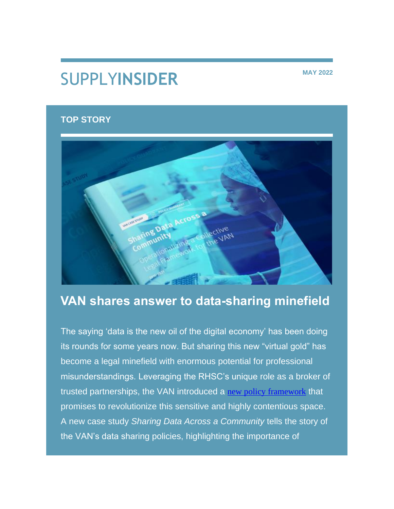# SUPPLY**INSIDER MAY 2022**

# **TOP STORY**



# **VAN shares answer to data-sharing minefield**

The saying 'data is the new oil of the digital economy' has been doing its rounds for some years now. But sharing this new "virtual gold" has become a legal minefield with enormous potential for professional misunderstandings. Leveraging the RHSC's unique role as a broker of trusted partnerships, the VAN introduced a [new policy framework](https://nam12.safelinks.protection.outlook.com/?url=https%3A%2F%2Frhsupplies.us11.list-manage.com%2Ftrack%2Fclick%3Fu%3Dbeb477a8227358641f37db22f%26id%3Dcbaf02fa17%26e%3D84423332e8&data=05%7C01%7Clalexe%40rhsupplies.org%7Cfbfca26d18284c78fd0a08da506ab556%7C29ca3f4f6d6749a5a001e1db48252717%7C0%7C0%7C637910716632373683%7CUnknown%7CTWFpbGZsb3d8eyJWIjoiMC4wLjAwMDAiLCJQIjoiV2luMzIiLCJBTiI6Ik1haWwiLCJXVCI6Mn0%3D%7C3000%7C%7C%7C&sdata=cvJS9Q4CZHAjQQ6idtGgC8l0h3shoVk89XxS%2Fe%2Fklfg%3D&reserved=0) that promises to revolutionize this sensitive and highly contentious space. A new case study *Sharing Data Across a Community* tells the story of the VAN's data sharing policies, highlighting the importance of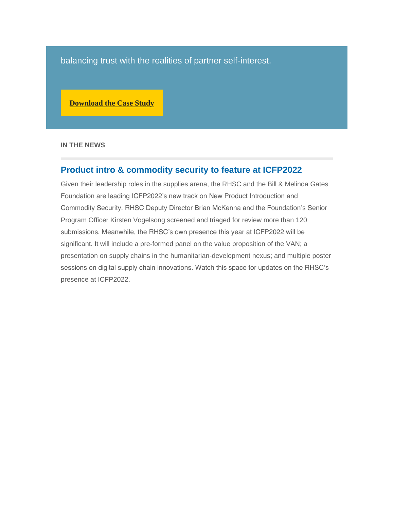balancing trust with the realities of partner self-interest.

**[Download the Case Study](https://nam12.safelinks.protection.outlook.com/?url=https%3A%2F%2Frhsupplies.us11.list-manage.com%2Ftrack%2Fclick%3Fu%3Dbeb477a8227358641f37db22f%26id%3D9b0b74345e%26e%3D84423332e8&data=05%7C01%7Clalexe%40rhsupplies.org%7Cfbfca26d18284c78fd0a08da506ab556%7C29ca3f4f6d6749a5a001e1db48252717%7C0%7C0%7C637910716632373683%7CUnknown%7CTWFpbGZsb3d8eyJWIjoiMC4wLjAwMDAiLCJQIjoiV2luMzIiLCJBTiI6Ik1haWwiLCJXVCI6Mn0%3D%7C3000%7C%7C%7C&sdata=dRzH7RrgHEsZN26pyPI1tADIU1q0ufUMMXMNim2QYJg%3D&reserved=0)**

**IN THE NEWS**

#### **Product intro & commodity security to feature at ICFP2022**

Given their leadership roles in the supplies arena, the RHSC and the Bill & Melinda Gates Foundation are leading ICFP2022's new track on New Product Introduction and Commodity Security. RHSC Deputy Director Brian McKenna and the Foundation's Senior Program Officer Kirsten Vogelsong screened and triaged for review more than 120 submissions. Meanwhile, the RHSC's own presence this year at ICFP2022 will be significant. It will include a pre-formed panel on the value proposition of the VAN; a presentation on supply chains in the humanitarian-development nexus; and multiple poster sessions on digital supply chain innovations. Watch this space for updates on the RHSC's presence at ICFP2022.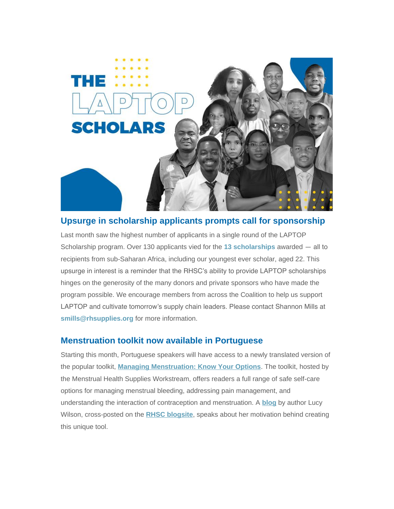

# **Upsurge in scholarship applicants prompts call for sponsorship**

Last month saw the highest number of applicants in a single round of the LAPTOP Scholarship program. Over 130 applicants vied for the **[13 scholarships](https://nam12.safelinks.protection.outlook.com/?url=https%3A%2F%2Frhsupplies.us11.list-manage.com%2Ftrack%2Fclick%3Fu%3Dbeb477a8227358641f37db22f%26id%3D179e119b16%26e%3D84423332e8&data=05%7C01%7Clalexe%40rhsupplies.org%7Cfbfca26d18284c78fd0a08da506ab556%7C29ca3f4f6d6749a5a001e1db48252717%7C0%7C0%7C637910716632373683%7CUnknown%7CTWFpbGZsb3d8eyJWIjoiMC4wLjAwMDAiLCJQIjoiV2luMzIiLCJBTiI6Ik1haWwiLCJXVCI6Mn0%3D%7C3000%7C%7C%7C&sdata=cgrZGbbNWduEv6SsgGn63nERPePBk40ccCTdYGYQbc0%3D&reserved=0)** awarded ― all to recipients from sub-Saharan Africa, including our youngest ever scholar, aged 22. This upsurge in interest is a reminder that the RHSC's ability to provide LAPTOP scholarships hinges on the generosity of the many donors and private sponsors who have made the program possible. We encourage members from across the Coalition to help us support LAPTOP and cultivate tomorrow's supply chain leaders. Please contact Shannon Mills at **[smills@rhsupplies.org](mailto:smills@rhsupplies.org)** for more information.

#### **Menstruation toolkit now available in Portuguese**

Starting this month, Portuguese speakers will have access to a newly translated version of the popular toolkit, *[Managing Menstruation: Know Your Options](https://nam12.safelinks.protection.outlook.com/?url=https%3A%2F%2Frhsupplies.us11.list-manage.com%2Ftrack%2Fclick%3Fu%3Dbeb477a8227358641f37db22f%26id%3D33c5f4f886%26e%3D84423332e8&data=05%7C01%7Clalexe%40rhsupplies.org%7Cfbfca26d18284c78fd0a08da506ab556%7C29ca3f4f6d6749a5a001e1db48252717%7C0%7C0%7C637910716632373683%7CUnknown%7CTWFpbGZsb3d8eyJWIjoiMC4wLjAwMDAiLCJQIjoiV2luMzIiLCJBTiI6Ik1haWwiLCJXVCI6Mn0%3D%7C3000%7C%7C%7C&sdata=UmexpTH3jlSMrEWpUl1wjottLV1rXSJuNXMDmHLX2Qs%3D&reserved=0)*. The toolkit, hosted by the Menstrual Health Supplies Workstream, offers readers a full range of safe self-care options for managing menstrual bleeding, addressing pain management, and understanding the interaction of contraception and menstruation. A **[blog](https://nam12.safelinks.protection.outlook.com/?url=https%3A%2F%2Frhsupplies.us11.list-manage.com%2Ftrack%2Fclick%3Fu%3Dbeb477a8227358641f37db22f%26id%3D3f387bfb62%26e%3D84423332e8&data=05%7C01%7Clalexe%40rhsupplies.org%7Cfbfca26d18284c78fd0a08da506ab556%7C29ca3f4f6d6749a5a001e1db48252717%7C0%7C0%7C637910716632373683%7CUnknown%7CTWFpbGZsb3d8eyJWIjoiMC4wLjAwMDAiLCJQIjoiV2luMzIiLCJBTiI6Ik1haWwiLCJXVCI6Mn0%3D%7C3000%7C%7C%7C&sdata=oHT38cuKD0D34BRbJoNlaQRUovhBsOaGjYMA7XV9Tmg%3D&reserved=0)** by author Lucy Wilson, cross-posted on the **[RHSC blogsite](https://nam12.safelinks.protection.outlook.com/?url=https%3A%2F%2Frhsupplies.us11.list-manage.com%2Ftrack%2Fclick%3Fu%3Dbeb477a8227358641f37db22f%26id%3D02b3fb3f37%26e%3D84423332e8&data=05%7C01%7Clalexe%40rhsupplies.org%7Cfbfca26d18284c78fd0a08da506ab556%7C29ca3f4f6d6749a5a001e1db48252717%7C0%7C0%7C637910716632373683%7CUnknown%7CTWFpbGZsb3d8eyJWIjoiMC4wLjAwMDAiLCJQIjoiV2luMzIiLCJBTiI6Ik1haWwiLCJXVCI6Mn0%3D%7C3000%7C%7C%7C&sdata=%2FQi0W6fcF28C8JOBL00z%2FWeQOcLWlRQvpkOQ%2Fi%2Bd6CM%3D&reserved=0)**, speaks about her motivation behind creating this unique tool.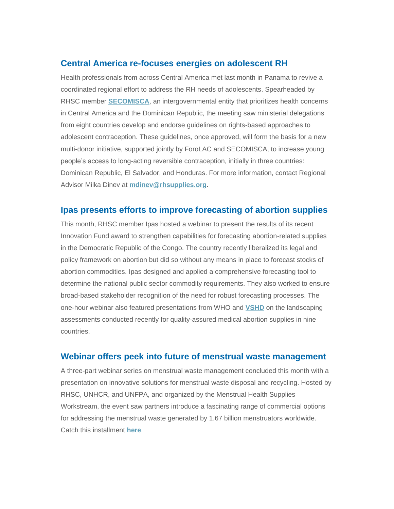#### **Central America re-focuses energies on adolescent RH**

Health professionals from across Central America met last month in Panama to revive a coordinated regional effort to address the RH needs of adolescents. Spearheaded by RHSC member **[SECOMISCA](https://nam12.safelinks.protection.outlook.com/?url=https%3A%2F%2Frhsupplies.us11.list-manage.com%2Ftrack%2Fclick%3Fu%3Dbeb477a8227358641f37db22f%26id%3Dc5a5964f92%26e%3D84423332e8&data=05%7C01%7Clalexe%40rhsupplies.org%7Cfbfca26d18284c78fd0a08da506ab556%7C29ca3f4f6d6749a5a001e1db48252717%7C0%7C0%7C637910716632373683%7CUnknown%7CTWFpbGZsb3d8eyJWIjoiMC4wLjAwMDAiLCJQIjoiV2luMzIiLCJBTiI6Ik1haWwiLCJXVCI6Mn0%3D%7C3000%7C%7C%7C&sdata=VZzhY8HcpK%2BN421w9XNyrcejpxVp11N1dty%2B5NQolHE%3D&reserved=0)**, an intergovernmental entity that prioritizes health concerns in Central America and the Dominican Republic, the meeting saw ministerial delegations from eight countries develop and endorse guidelines on rights-based approaches to adolescent contraception. These guidelines, once approved, will form the basis for a new multi-donor initiative, supported jointly by ForoLAC and SECOMISCA, to increase young people's access to long-acting reversible contraception, initially in three countries: Dominican Republic, El Salvador, and Honduras. For more information, contact Regional Advisor Milka Dinev at **[mdinev@rhsupplies.org](mailto:mdinev@rhsupplies.org)**.

#### **Ipas presents efforts to improve forecasting of abortion supplies**

This month, RHSC member Ipas hosted a webinar to present the results of its recent Innovation Fund award to strengthen capabilities for forecasting abortion-related supplies in the Democratic Republic of the Congo. The country recently liberalized its legal and policy framework on abortion but did so without any means in place to forecast stocks of abortion commodities. Ipas designed and applied a comprehensive forecasting tool to determine the national public sector commodity requirements. They also worked to ensure broad-based stakeholder recognition of the need for robust forecasting processes. The one-hour webinar also featured presentations from WHO and **[VSHD](https://nam12.safelinks.protection.outlook.com/?url=https%3A%2F%2Frhsupplies.us11.list-manage.com%2Ftrack%2Fclick%3Fu%3Dbeb477a8227358641f37db22f%26id%3D1ba5aa1d0b%26e%3D84423332e8&data=05%7C01%7Clalexe%40rhsupplies.org%7Cfbfca26d18284c78fd0a08da506ab556%7C29ca3f4f6d6749a5a001e1db48252717%7C0%7C0%7C637910716632373683%7CUnknown%7CTWFpbGZsb3d8eyJWIjoiMC4wLjAwMDAiLCJQIjoiV2luMzIiLCJBTiI6Ik1haWwiLCJXVCI6Mn0%3D%7C3000%7C%7C%7C&sdata=5YVnu3SbHVknyo4B1U6aKnCsFewBrDxbTebRwfu422M%3D&reserved=0)** on the landscaping assessments conducted recently for quality-assured medical abortion supplies in nine countries.

#### **Webinar offers peek into future of menstrual waste management**

A three-part webinar series on menstrual waste management concluded this month with a presentation on innovative solutions for menstrual waste disposal and recycling. Hosted by RHSC, UNHCR, and UNFPA, and organized by the Menstrual Health Supplies Workstream, the event saw partners introduce a fascinating range of commercial options for addressing the menstrual waste generated by 1.67 billion menstruators worldwide. Catch this installment **[here](https://nam12.safelinks.protection.outlook.com/?url=https%3A%2F%2Frhsupplies.us11.list-manage.com%2Ftrack%2Fclick%3Fu%3Dbeb477a8227358641f37db22f%26id%3D71e2974bcc%26e%3D84423332e8&data=05%7C01%7Clalexe%40rhsupplies.org%7Cfbfca26d18284c78fd0a08da506ab556%7C29ca3f4f6d6749a5a001e1db48252717%7C0%7C0%7C637910716632373683%7CUnknown%7CTWFpbGZsb3d8eyJWIjoiMC4wLjAwMDAiLCJQIjoiV2luMzIiLCJBTiI6Ik1haWwiLCJXVCI6Mn0%3D%7C3000%7C%7C%7C&sdata=y8IuY4SUuJiS9%2Bl0Z25v58KtUejqvNDfv2VS3BdIZHM%3D&reserved=0)**.